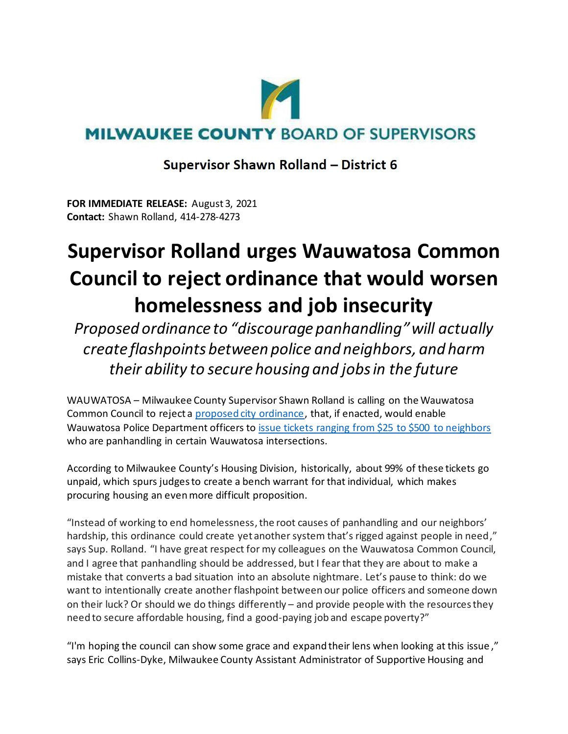

## **MILWAUKEE COUNTY BOARD OF SUPERVISORS**

## **Supervisor Shawn Rolland - District 6**

**FOR IMMEDIATE RELEASE:** August 3, 2021 **Contact:** Shawn Rolland, 414-278-4273

## **Supervisor Rolland urges Wauwatosa Common Council to reject ordinance that would worsen homelessness and job insecurity**

*Proposed ordinance to "discourage panhandling"will actually create flashpoints between police and neighbors, and harm their ability to secure housing and jobs in the future* 

WAUWATOSA – Milwaukee County Supervisor Shawn Rolland is calling on the Wauwatosa Common Council to reject a [proposed city ordinance,](http://wauwatosacitywi.iqm2.com/citizens/FileOpen.aspx?Type=1&ID=3562&Inline=True) that, if enacted, would enable Wauwatosa Police Department officers to [issue tickets ranging from \\$25](https://www.jsonline.com/story/communities/west/news/wauwatosa/2021/08/03/wauwatosa-officials-ok-draft-ordinance-restricting-panhandling/8034748002/) to \$500 to neighbors who are panhandling in certain Wauwatosa intersections.

According to Milwaukee County's Housing Division, historically, about 99% of these tickets go unpaid, which spurs judges to create a bench warrant for that individual, which makes procuring housing an even more difficult proposition.

"Instead of working to end homelessness, the root causes of panhandling and our neighbors' hardship, this ordinance could create yet another system that's rigged against people in need," says Sup. Rolland. "I have great respect for my colleagues on the Wauwatosa Common Council, and I agree that panhandling should be addressed, but I fear that they are about to make a mistake that converts a bad situation into an absolute nightmare. Let's pause to think: do we want to intentionally create another flashpoint between our police officers and someone down on their luck? Or should we do things differently – and provide people with the resources they need to secure affordable housing, find a good-paying job and escape poverty?"

"I'm hoping the council can show some grace and expand their lens when looking at this issue ," says Eric Collins-Dyke, Milwaukee County Assistant Administrator of Supportive Housing and